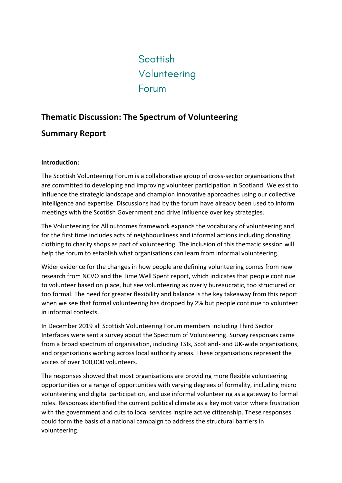# Scottish Volunteering Forum

## **Thematic Discussion: The Spectrum of Volunteering**

### **Summary Report**

#### **Introduction:**

The Scottish Volunteering Forum is a collaborative group of cross-sector organisations that are committed to developing and improving volunteer participation in Scotland. We exist to influence the strategic landscape and champion innovative approaches using our collective intelligence and expertise. Discussions had by the forum have already been used to inform meetings with the Scottish Government and drive influence over key strategies.

The Volunteering for All outcomes framework expands the vocabulary of volunteering and for the first time includes acts of neighbourliness and informal actions including donating clothing to charity shops as part of volunteering. The inclusion of this thematic session will help the forum to establish what organisations can learn from informal volunteering.

Wider evidence for the changes in how people are defining volunteering comes from new research from NCVO and the Time Well Spent report, which indicates that people continue to volunteer based on place, but see volunteering as overly bureaucratic, too structured or too formal. The need for greater flexibility and balance is the key takeaway from this report when we see that formal volunteering has dropped by 2% but people continue to volunteer in informal contexts.

In December 2019 all Scottish Volunteering Forum members including Third Sector Interfaces were sent a survey about the Spectrum of Volunteering. Survey responses came from a broad spectrum of organisation, including TSIs, Scotland- and UK-wide organisations, and organisations working across local authority areas. These organisations represent the voices of over 100,000 volunteers.

The responses showed that most organisations are providing more flexible volunteering opportunities or a range of opportunities with varying degrees of formality, including micro volunteering and digital participation, and use informal volunteering as a gateway to formal roles. Responses identified the current political climate as a key motivator where frustration with the government and cuts to local services inspire active citizenship. These responses could form the basis of a national campaign to address the structural barriers in volunteering.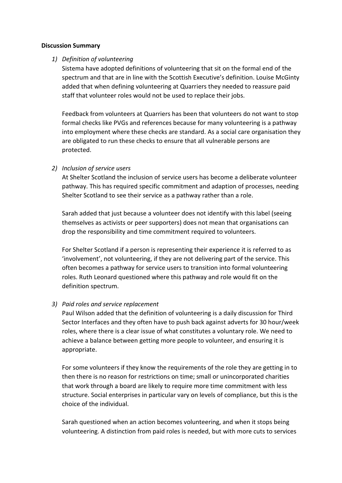#### **Discussion Summary**

#### *1) Definition of volunteering*

Sistema have adopted definitions of volunteering that sit on the formal end of the spectrum and that are in line with the Scottish Executive's definition. Louise McGinty added that when defining volunteering at Quarriers they needed to reassure paid staff that volunteer roles would not be used to replace their jobs.

Feedback from volunteers at Quarriers has been that volunteers do not want to stop formal checks like PVGs and references because for many volunteering is a pathway into employment where these checks are standard. As a social care organisation they are obligated to run these checks to ensure that all vulnerable persons are protected.

#### *2) Inclusion of service users*

At Shelter Scotland the inclusion of service users has become a deliberate volunteer pathway. This has required specific commitment and adaption of processes, needing Shelter Scotland to see their service as a pathway rather than a role.

Sarah added that just because a volunteer does not identify with this label (seeing themselves as activists or peer supporters) does not mean that organisations can drop the responsibility and time commitment required to volunteers.

For Shelter Scotland if a person is representing their experience it is referred to as 'involvement', not volunteering, if they are not delivering part of the service. This often becomes a pathway for service users to transition into formal volunteering roles. Ruth Leonard questioned where this pathway and role would fit on the definition spectrum.

#### *3) Paid roles and service replacement*

Paul Wilson added that the definition of volunteering is a daily discussion for Third Sector Interfaces and they often have to push back against adverts for 30 hour/week roles, where there is a clear issue of what constitutes a voluntary role. We need to achieve a balance between getting more people to volunteer, and ensuring it is appropriate.

For some volunteers if they know the requirements of the role they are getting in to then there is no reason for restrictions on time; small or unincorporated charities that work through a board are likely to require more time commitment with less structure. Social enterprises in particular vary on levels of compliance, but this is the choice of the individual.

Sarah questioned when an action becomes volunteering, and when it stops being volunteering. A distinction from paid roles is needed, but with more cuts to services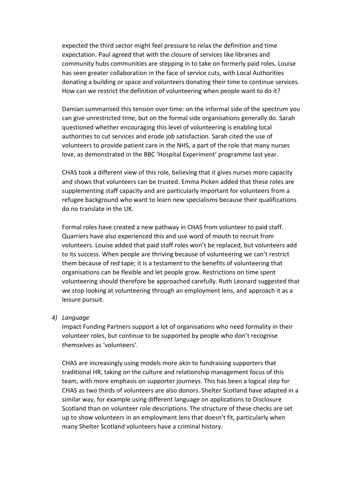expected the third sector might feel pressure to relax the definition and time expectation. Paul agreed that with the closure of services like libraries and community hubs communities are stepping in to take on formerly paid roles. Louise has seen greater collaboration in the face of service cuts, with Local Authorities donating a building or space and volunteers donating their time to continue services. How can we restrict the definition of volunteering when people want to do it?

Damian summarised this tension over time: on the informal side of the spectrum you can give unrestricted time, but on the formal side organisations generally do. Sarah questioned whether encouraging this level of volunteering is enabling local authorities to cut services and erode job satisfaction. Sarah cited the use of volunteers to provide patient care in the NHS, a part of the role that many nurses love, as demonstrated in the BBC 'Hospital Experiment' programme last year.

CHAS took a different view of this role, believing that it gives nurses more capacity and shows that volunteers can be trusted. Emma Picken added that these roles are supplementing staff capacity and are particularly important for volunteers from a refugee background who want to learn new specialisms because their qualifications do no translate in the UK.

Formal roles have created a new pathway in CHAS from volunteer to paid staff. Quarriers have also experienced this and use word of mouth to recruit from volunteers. Louise added that paid staff roles won't be replaced, but volunteers add to its success. When people are thriving because of volunteering we can't restrict them because of red tape; it is a testament to the benefits of volunteering that organisations can be flexible and let people grow. Restrictions on time spent volunteering should therefore be approached carefully. Ruth Leonard suggested that we stop looking at volunteering through an employment lens, and approach it as a leisure pursuit.

*4) Language*

Impact Funding Partners support a lot of organisations who need formality in their volunteer roles, but continue to be supported by people who don't recognise themselves as 'volunteers'.

CHAS are increasingly using models more akin to fundraising supporters that traditional HR, taking on the culture and relationship management focus of this team, with more emphasis on supporter journeys. This has been a logical step for CHAS as two thirds of volunteers are also donors. Shelter Scotland have adapted in a similar way, for example using different language on applications to Disclosure Scotland than on volunteer role descriptions. The structure of these checks are set up to show volunteers in an employment lens that doesn't fit, particularly when many Shelter Scotland volunteers have a criminal history.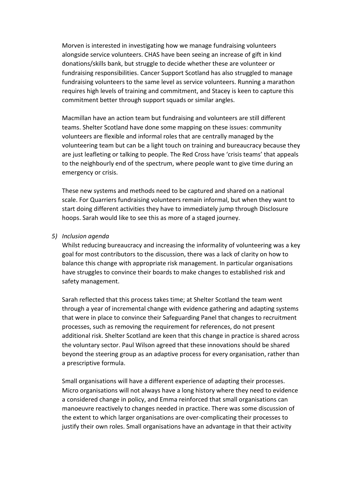Morven is interested in investigating how we manage fundraising volunteers alongside service volunteers. CHAS have been seeing an increase of gift in kind donations/skills bank, but struggle to decide whether these are volunteer or fundraising responsibilities. Cancer Support Scotland has also struggled to manage fundraising volunteers to the same level as service volunteers. Running a marathon requires high levels of training and commitment, and Stacey is keen to capture this commitment better through support squads or similar angles.

Macmillan have an action team but fundraising and volunteers are still different teams. Shelter Scotland have done some mapping on these issues: community volunteers are flexible and informal roles that are centrally managed by the volunteering team but can be a light touch on training and bureaucracy because they are just leafleting or talking to people. The Red Cross have 'crisis teams' that appeals to the neighbourly end of the spectrum, where people want to give time during an emergency or crisis.

These new systems and methods need to be captured and shared on a national scale. For Quarriers fundraising volunteers remain informal, but when they want to start doing different activities they have to immediately jump through Disclosure hoops. Sarah would like to see this as more of a staged journey.

#### *5) Inclusion agenda*

Whilst reducing bureaucracy and increasing the informality of volunteering was a key goal for most contributors to the discussion, there was a lack of clarity on how to balance this change with appropriate risk management. In particular organisations have struggles to convince their boards to make changes to established risk and safety management.

Sarah reflected that this process takes time; at Shelter Scotland the team went through a year of incremental change with evidence gathering and adapting systems that were in place to convince their Safeguarding Panel that changes to recruitment processes, such as removing the requirement for references, do not present additional risk. Shelter Scotland are keen that this change in practice is shared across the voluntary sector. Paul Wilson agreed that these innovations should be shared beyond the steering group as an adaptive process for every organisation, rather than a prescriptive formula.

Small organisations will have a different experience of adapting their processes. Micro organisations will not always have a long history where they need to evidence a considered change in policy, and Emma reinforced that small organisations can manoeuvre reactively to changes needed in practice. There was some discussion of the extent to which larger organisations are over-complicating their processes to justify their own roles. Small organisations have an advantage in that their activity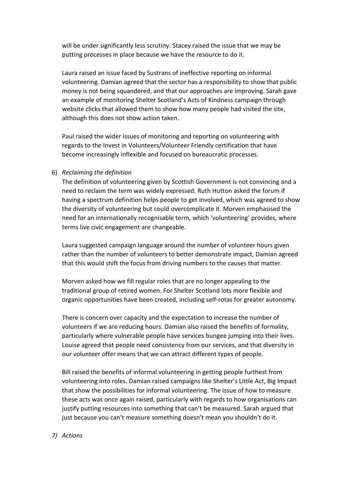will be under significantly less scrutiny. Stacey raised the issue that we may be putting processes in place because we have the resource to do it.

Laura raised an issue faced by Sustrans of ineffective reporting on informal volunteering. Damian agreed that the sector has a responsibility to show that public money is not being squandered, and that our approaches are improving. Sarah gave an example of monitoring Shelter Scotland's Acts of Kindness campaign through website clicks that allowed them to show how many people had visited the site, although this does not show action taken.

Paul raised the wider issues of monitoring and reporting on volunteering with regards to the Invest in Volunteers/Volunteer Friendly certification that have become increasingly inflexible and focused on bureaucratic processes.

#### 6) *Reclaiming the definition*

The definition of volunteering given by Scottish Government is not convincing and a need to reclaim the term was widely expressed. Ruth Hutton asked the forum if having a spectrum definition helps people to get involved, which was agreed to show the diversity of volunteering but could overcomplicate it. Morven emphasised the need for an internationally recognisable term, which 'volunteering' provides, where terms live civic engagement are changeable.

Laura suggested campaign language around the number of volunteer hours given rather than the number of volunteers to better demonstrate impact, Damian agreed that this would shift the focus from driving numbers to the causes that matter.

Morven asked how we fill regular roles that are no longer appealing to the traditional group of retired women. For Shelter Scotland lots more flexible and organic opportunities have been created, including self-rotas for greater autonomy.

There is concern over capacity and the expectation to increase the number of volunteers if we are reducing hours. Damian also raised the benefits of formality, particularly where vulnerable people have services bungee jumping into their lives. Louise agreed that people need consistency from our services, and that diversity in our volunteer offer means that we can attract different types of people.

Bill raised the benefits of informal volunteering in getting people furthest from volunteering into roles. Damian raised campaigns like Shelter's Little Act, Big Impact that show the possibilities for informal volunteering. The issue of how to measure these acts was once again raised, particularly with regards to how organisations can justify putting resources into something that can't be measured. Sarah argued that just because you can't measure something doesn't mean you shouldn't do it.

#### *7) Actions*